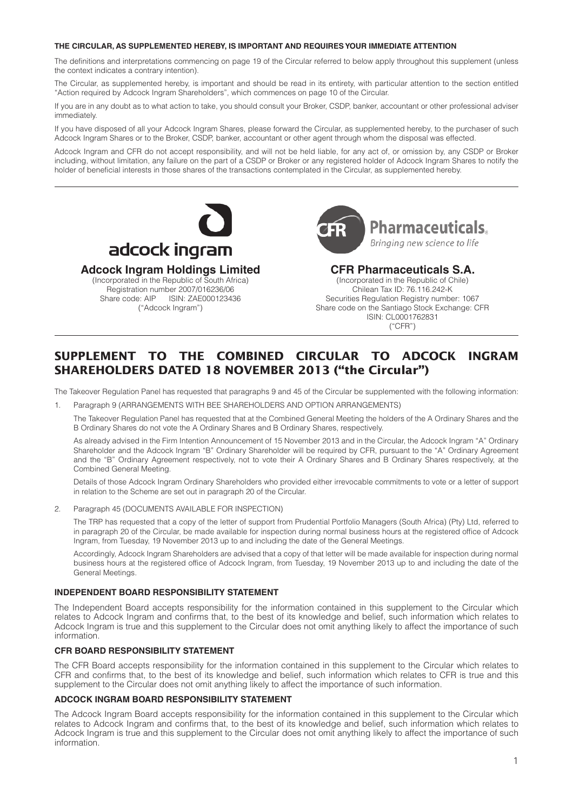#### **THE CIRCULAR, AS SUPPLEMENTED HEREBY, IS IMPORTANT AND REQUIRES YOUR IMMEDIATE ATTENTION**

The definitions and interpretations commencing on page 19 of the Circular referred to below apply throughout this supplement (unless the context indicates a contrary intention).

The Circular, as supplemented hereby, is important and should be read in its entirety, with particular attention to the section entitled "Action required by Adcock Ingram Shareholders", which commences on page 10 of the Circular.

If you are in any doubt as to what action to take, you should consult your Broker, CSDP, banker, accountant or other professional adviser immediately.

If you have disposed of all your Adcock Ingram Shares, please forward the Circular, as supplemented hereby, to the purchaser of such Adcock Ingram Shares or to the Broker, CSDP, banker, accountant or other agent through whom the disposal was effected.

Adcock Ingram and CFR do not accept responsibility, and will not be held liable, for any act of, or omission by, any CSDP or Broker including, without limitation, any failure on the part of a CSDP or Broker or any registered holder of Adcock Ingram Shares to notify the holder of beneficial interests in those shares of the transactions contemplated in the Circular, as supplemented hereby.



# **Adcock Ingram Holdings Limited**

(Incorporated in the Republic of South Africa) Registration number 2007/016236/06<br>Share code: AIP ISIN: ZAE00012343 Share code: AIP ISIN: ZAE000123436 ("Adcock Ingram")



## **CFR Pharmaceuticals S.A.**

(Incorporated in the Republic of Chile) Chilean Tax ID: 76.116.242-K Securities Regulation Registry number: 1067 Share code on the Santiago Stock Exchange: CFR ISIN: CL0001762831 ("CFR")

## **SUPPLEMENT TO THE COMBINED CIRCULAR TO ADCOCK INGRAM SHAREHOLDERS DATED 18 NOVEMBER 2013 ("the Circular")**

The Takeover Regulation Panel has requested that paragraphs 9 and 45 of the Circular be supplemented with the following information:

1. Paragraph 9 (ARRANGEMENTS WITH BEE SHAREHOLDERS AND OPTION ARRANGEMENTS)

The Takeover Regulation Panel has requested that at the Combined General Meeting the holders of the A Ordinary Shares and the B Ordinary Shares do not vote the A Ordinary Shares and B Ordinary Shares, respectively.

As already advised in the Firm Intention Announcement of 15 November 2013 and in the Circular, the Adcock Ingram "A" Ordinary Shareholder and the Adcock Ingram "B" Ordinary Shareholder will be required by CFR, pursuant to the "A" Ordinary Agreement and the "B" Ordinary Agreement respectively, not to vote their A Ordinary Shares and B Ordinary Shares respectively, at the Combined General Meeting.

Details of those Adcock Ingram Ordinary Shareholders who provided either irrevocable commitments to vote or a letter of support in relation to the Scheme are set out in paragraph 20 of the Circular.

2. Paragraph 45 (DOCUMENTS AVAILABLE FOR INSPECTION)

The TRP has requested that a copy of the letter of support from Prudential Portfolio Managers (South Africa) (Pty) Ltd, referred to in paragraph 20 of the Circular, be made available for inspection during normal business hours at the registered office of Adcock Ingram, from Tuesday, 19 November 2013 up to and including the date of the General Meetings.

Accordingly, Adcock Ingram Shareholders are advised that a copy of that letter will be made available for inspection during normal business hours at the registered office of Adcock Ingram, from Tuesday, 19 November 2013 up to and including the date of the General Meetings.

#### **INDEPENDENT BOARD RESPONSIBILITY STATEMENT**

The Independent Board accepts responsibility for the information contained in this supplement to the Circular which relates to Adcock Ingram and confirms that, to the best of its knowledge and belief, such information which relates to Adcock Ingram is true and this supplement to the Circular does not omit anything likely to affect the importance of such information.

## **CFR BOARD RESPONSIBILITY STATEMENT**

The CFR Board accepts responsibility for the information contained in this supplement to the Circular which relates to CFR and confirms that, to the best of its knowledge and belief, such information which relates to CFR is true and this supplement to the Circular does not omit anything likely to affect the importance of such information.

#### **ADCOCK INGRAM BOARD RESPONSIBILITY STATEMENT**

The Adcock Ingram Board accepts responsibility for the information contained in this supplement to the Circular which relates to Adcock Ingram and confirms that, to the best of its knowledge and belief, such information which relates to Adcock Ingram is true and this supplement to the Circular does not omit anything likely to affect the importance of such information.